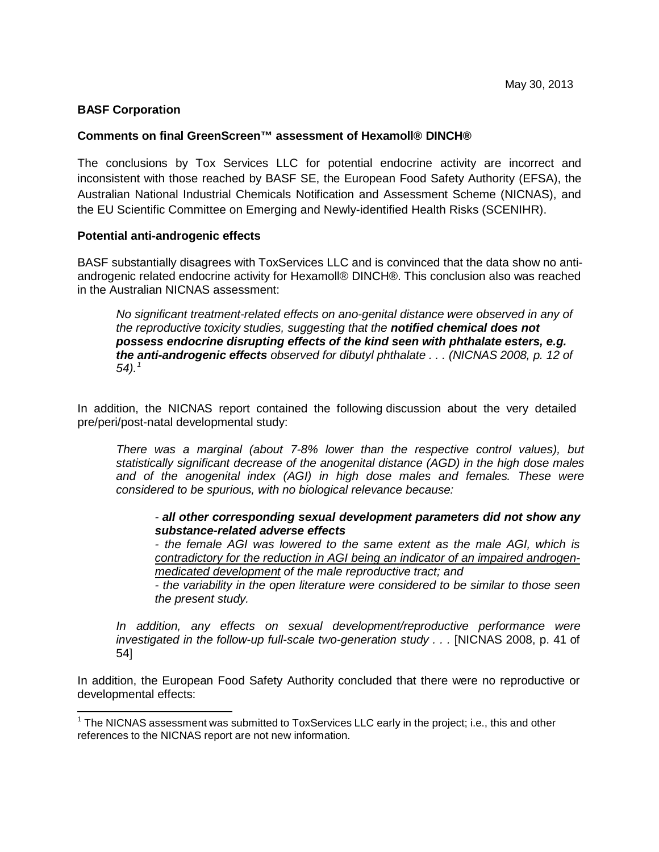# **BASF Corporation**

## **Comments on final GreenScreen™ assessment of Hexamoll® DINCH®**

The conclusions by Tox Services LLC for potential endocrine activity are incorrect and inconsistent with those reached by BASF SE, the European Food Safety Authority (EFSA), the Australian National Industrial Chemicals Notification and Assessment Scheme (NICNAS), and the EU Scientific Committee on Emerging and Newly-identified Health Risks (SCENIHR).

## **Potential anti-androgenic effects**

BASF substantially disagrees with ToxServices LLC and is convinced that the data show no antiandrogenic related endocrine activity for Hexamoll® DINCH®. This conclusion also was reached in the Australian NICNAS assessment:

*No significant treatment-related effects on ano-genital distance were observed in any of the reproductive toxicity studies, suggesting that the notified chemical does not possess endocrine disrupting effects of the kind seen with phthalate esters, e.g. the anti-androgenic effects observed for dibutyl phthalate . . . (NICNAS 2008, p. 12 of 54). 1*

In addition, the NICNAS report contained the following discussion about the very detailed pre/peri/post-natal developmental study:

*There was a marginal (about 7-8% lower than the respective control values), but statistically significant decrease of the anogenital distance (AGD) in the high dose males and of the anogenital index (AGI) in high dose males and females. These were considered to be spurious, with no biological relevance because:*

*- all other corresponding sexual development parameters did not show any substance-related adverse effects*

*- the female AGI was lowered to the same extent as the male AGI, which is contradictory for the reduction in AGI being an indicator of an impaired androgenmedicated development of the male reproductive tract; and*

*- the variability in the open literature were considered to be similar to those seen the present study.*

*In addition, any effects on sexual development/reproductive performance were investigated in the follow-up full-scale two-generation study . . .* [NICNAS 2008, p. 41 of 54]

In addition, the European Food Safety Authority concluded that there were no reproductive or developmental effects:

 $1$  The NICNAS assessment was submitted to ToxServices LLC early in the project; i.e., this and other references to the NICNAS report are not new information.